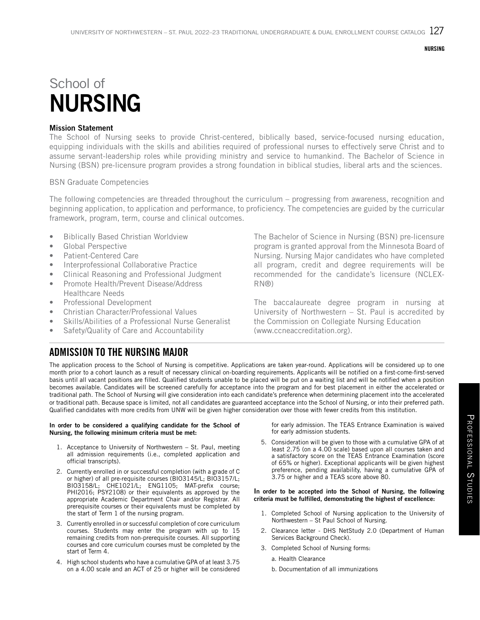**NURSING** 

# School of NURSING

## Mission Statement

The School of Nursing seeks to provide Christ-centered, biblically based, service-focused nursing education, equipping individuals with the skills and abilities required of professional nurses to effectively serve Christ and to assume servant-leadership roles while providing ministry and service to humankind. The Bachelor of Science in Nursing (BSN) pre-licensure program provides a strong foundation in biblical studies, liberal arts and the sciences.

## BSN Graduate Competencies

The following competencies are threaded throughout the curriculum – progressing from awareness, recognition and beginning application, to application and performance, to proficiency. The competencies are guided by the curricular framework, program, term, course and clinical outcomes.

- Biblically Based Christian Worldview
- Global Perspective
- Patient-Centered Care
- Interprofessional Collaborative Practice
- Clinical Reasoning and Professional Judgment
- Promote Health/Prevent Disease/Address Healthcare Needs
- Professional Development
- Christian Character/Professional Values
- Skills/Abilities of a Professional Nurse Generalist
- Safety/Quality of Care and Accountability

The Bachelor of Science in Nursing (BSN) pre-licensure program is granted approval from the Minnesota Board of Nursing. Nursing Major candidates who have completed all program, credit and degree requirements will be recommended for the candidate's licensure (NCLEX-RN®)

The baccalaureate degree program in nursing at University of Northwestern – St. Paul is accredited by the Commission on Collegiate Nursing Education (www.ccneaccreditation.org).

## ADMISSION TO THE NURSING MAJOR

The application process to the School of Nursing is competitive. Applications are taken year-round. Applications will be considered up to one month prior to a cohort launch as a result of necessary clinical on-boarding requirements. Applicants will be notified on a first-come-first-served basis until all vacant positions are filled. Qualified students unable to be placed will be put on a waiting list and will be notified when a position becomes available. Candidates will be screened carefully for acceptance into the program and for best placement in either the accelerated or traditional path. The School of Nursing will give consideration into each candidate's preference when determining placement into the accelerated or traditional path. Because space is limited, not all candidates are guaranteed acceptance into the School of Nursing, or into their preferred path. Qualified candidates with more credits from UNW will be given higher consideration over those with fewer credits from this institution.

#### In order to be considered a qualifying candidate for the School of Nursing, the following minimum criteria must be met:

- 1. Acceptance to University of Northwestern St. Paul, meeting all admission requirements (i.e., completed application and official transcripts).
- 2. Currently enrolled in or successful completion (with a grade of C or higher) of all pre-requisite courses (BIO3145/L; BIO3157/L; BIO3158/L; CHE1021/L; ENG1105; MAT-prefix course; PHI2016; PSY2108) or their equivalents as approved by the appropriate Academic Department Chair and/or Registrar. All prerequisite courses or their equivalents must be completed by the start of Term 1 of the nursing program.
- 3. Currently enrolled in or successful completion of core curriculum courses. Students may enter the program with up to 15 remaining credits from non-prerequisite courses. All supporting courses and core curriculum courses must be completed by the start of Term 4.
- 4. High school students who have a cumulative GPA of at least 3.75 on a 4.00 scale and an ACT of 25 or higher will be considered

for early admission. The TEAS Entrance Examination is waived for early admission students.

5. Consideration will be given to those with a cumulative GPA of at least 2.75 (on a 4.00 scale) based upon all courses taken and a satisfactory score on the TEAS Entrance Examination (score of 65% or higher). Exceptional applicants will be given highest preference, pending availability, having a cumulative GPA of 3.75 or higher and a TEAS score above 80.

#### In order to be accepted into the School of Nursing, the following criteria must be fulfilled, demonstrating the highest of excellence:

- 1. Completed School of Nursing application to the University of Northwestern – St Paul School of Nursing.
- 2. Clearance letter DHS NetStudy 2.0 (Department of Human Services Background Check).
- 3. Completed School of Nursing forms:
	- a. Health Clearance
	- b. Documentation of all immunizations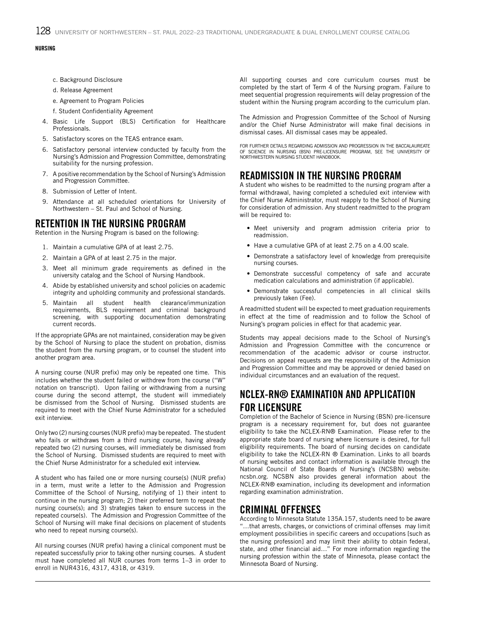$128$  university of northwestern – st. paul 2022–23 Traditional undergraduate & dual enrollment course catalog

## NURSING **DESCRIPTIONS**

- c. Background Disclosure
- d. Release Agreement
- e. Agreement to Program Policies
- f. Student Confidentiality Agreement
- 4. Basic Life Support (BLS) Certification for Healthcare Professionals.
- 5. Satisfactory scores on the TEAS entrance exam.
- 6. Satisfactory personal interview conducted by faculty from the Nursing's Admission and Progression Committee, demonstrating suitability for the nursing profession.
- 7. A positive recommendation by the School of Nursing's Admission and Progression Committee.
- 8. Submission of Letter of Intent.
- 9. Attendance at all scheduled orientations for University of Northwestern – St. Paul and School of Nursing.

## RETENTION IN THE NURSING PROGRAM

Retention in the Nursing Program is based on the following:

- 1. Maintain a cumulative GPA of at least 2.75.
- 2. Maintain a GPA of at least 2.75 in the major.
- 3. Meet all minimum grade requirements as defined in the university catalog and the School of Nursing Handbook.
- 4. Abide by established university and school policies on academic integrity and upholding community and professional standards.
- 5. Maintain all student health clearance/immunization requirements, BLS requirement and criminal background screening, with supporting documentation demonstrating current records.

If the appropriate GPAs are not maintained, consideration may be given by the School of Nursing to place the student on probation, dismiss the student from the nursing program, or to counsel the student into another program area.

A nursing course (NUR prefix) may only be repeated one time. This includes whether the student failed or withdrew from the course ("W" notation on transcript). Upon failing or withdrawing from a nursing course during the second attempt, the student will immediately be dismissed from the School of Nursing. Dismissed students are required to meet with the Chief Nurse Administrator for a scheduled exit interview.

Only two (2) nursing courses (NUR prefix) may be repeated. The student who fails or withdraws from a third nursing course, having already repeated two (2) nursing courses, will immediately be dismissed from the School of Nursing. Dismissed students are required to meet with the Chief Nurse Administrator for a scheduled exit interview.

A student who has failed one or more nursing course(s) (NUR prefix) in a term, must write a letter to the Admission and Progression Committee of the School of Nursing, notifying of 1) their intent to continue in the nursing program; 2) their preferred term to repeat the nursing course(s); and 3) strategies taken to ensure success in the repeated course(s). The Admission and Progression Committee of the School of Nursing will make final decisions on placement of students who need to repeat nursing course(s).

All nursing courses (NUR prefix) having a clinical component must be repeated successfully prior to taking other nursing courses. A student must have completed all NUR courses from terms 1–3 in order to enroll in NUR4316, 4317, 4318, or 4319.

All supporting courses and core curriculum courses must be completed by the start of Term 4 of the Nursing program. Failure to meet sequential progression requirements will delay progression of the student within the Nursing program according to the curriculum plan.

The Admission and Progression Committee of the School of Nursing and/or the Chief Nurse Administrator will make final decisions in dismissal cases. All dismissal cases may be appealed.

FOR FURTHER DETAILS REGARDING ADMISSION AND PROGRESSION IN THE BACCALAUREATE OF SCIENCE IN NURSING (BSN) PRE-LICENSURE PROGRAM, SEE THE UNIVERSITY OF NORTHWESTERN NURSING STUDENT HANDBOOK.

## READMISSION IN THE NURSING PROGRAM

A student who wishes to be readmitted to the nursing program after a formal withdrawal, having completed a scheduled exit interview with the Chief Nurse Administrator, must reapply to the School of Nursing for consideration of admission. Any student readmitted to the program will be required to:

- Meet university and program admission criteria prior to readmission.
- Have a cumulative GPA of at least 2.75 on a 4.00 scale.
- Demonstrate a satisfactory level of knowledge from prerequisite nursing courses.
- Demonstrate successful competency of safe and accurate medication calculations and administration (if applicable).
- Demonstrate successful competencies in all clinical skills previously taken (Fee).

A readmitted student will be expected to meet graduation requirements in effect at the time of readmission and to follow the School of Nursing's program policies in effect for that academic year.

Students may appeal decisions made to the School of Nursing's Admission and Progression Committee with the concurrence or recommendation of the academic advisor or course instructor. Decisions on appeal requests are the responsibility of the Admission and Progression Committee and may be approved or denied based on individual circumstances and an evaluation of the request.

## NCLEX-RN® EXAMINATION AND APPLICATION FOR LICENSURE

Completion of the Bachelor of Science in Nursing (BSN) pre-licensure program is a necessary requirement for, but does not guarantee eligibility to take the NCLEX-RN® Examination. Please refer to the appropriate state board of nursing where licensure is desired, for full eligibility requirements. The board of nursing decides on candidate eligibility to take the NCLEX-RN ® Examination. Links to all boards of nursing websites and contact information is available through the National Council of State Boards of Nursing's (NCSBN) website: ncsbn.org. NCSBN also provides general information about the NCLEX-RN® examination, including its development and information regarding examination administration.

## CRIMINAL OFFENSES

According to Minnesota Statute 135A.157, students need to be aware "…that arrests, charges, or convictions of criminal offenses may limit employment possibilities in specific careers and occupations [such as the nursing profession] and may limit their ability to obtain federal, state, and other financial aid…" For more information regarding the nursing profession within the state of Minnesota, please contact the Minnesota Board of Nursing.